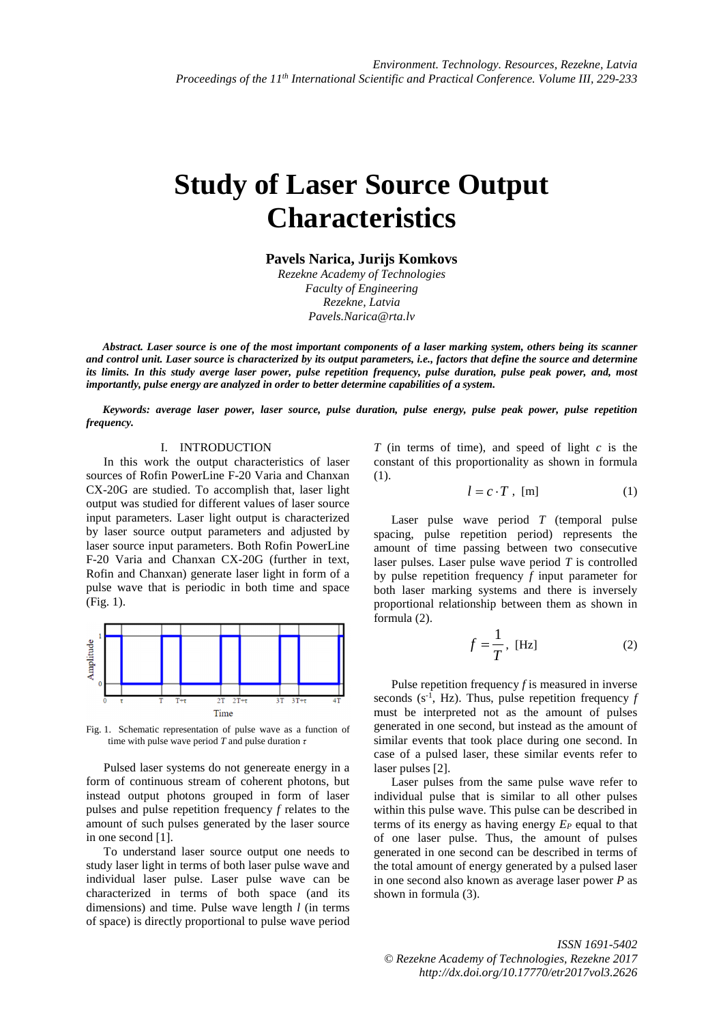## **Study of Laser Source Output Characteristics**

**Pavels Narica, Jurijs Komkovs** 

*Rezekne Academy of Technologies Faculty of Engineering Rezekne, Latvia Pavels.Narica@rta.lv* 

*Abstract. Laser source is one of the most important components of a laser marking system, others being its scanner and control unit. Laser source is characterized by its output parameters, i.e., factors that define the source and determine its limits. In this study averge laser power, pulse repetition frequency, pulse duration, pulse peak power, and, most importantly, pulse energy are analyzed in order to better determine capabilities of a system.* 

*Keywords: average laser power, laser source, pulse duration, pulse energy, pulse peak power, pulse repetition frequency.* 

## I. INTRODUCTION

In this work the output characteristics of laser sources of Rofin PowerLine F-20 Varia and Chanxan CX-20G are studied. To accomplish that, laser light output was studied for different values of laser source input parameters. Laser light output is characterized by laser source output parameters and adjusted by laser source input parameters. Both Rofin PowerLine F-20 Varia and Chanxan CX-20G (further in text, Rofin and Chanxan) generate laser light in form of a pulse wave that is periodic in both time and space (Fig. 1).



Fig. 1. Schematic representation of pulse wave as a function of time with pulse wave period *T* and pulse duration *τ*

Pulsed laser systems do not genereate energy in a form of continuous stream of coherent photons, but instead output photons grouped in form of laser pulses and pulse repetition frequency *f* relates to the amount of such pulses generated by the laser source in one second [1].

To understand laser source output one needs to study laser light in terms of both laser pulse wave and individual laser pulse. Laser pulse wave can be characterized in terms of both space (and its dimensions) and time. Pulse wave length *l* (in terms of space) is directly proportional to pulse wave period

*T* (in terms of time), and speed of light *c* is the constant of this proportionality as shown in formula (1).

$$
l = c \cdot T , [m]
$$
 (1)

Laser pulse wave period *T* (temporal pulse spacing, pulse repetition period) represents the amount of time passing between two consecutive laser pulses. Laser pulse wave period *T* is controlled by pulse repetition frequency *f* input parameter for both laser marking systems and there is inversely proportional relationship between them as shown in formula (2).

$$
f = \frac{1}{T}, \text{ [Hz]} \tag{2}
$$

Pulse repetition frequency *f* is measured in inverse seconds  $(s^{-1}, Hz)$ . Thus, pulse repetition frequency *f* must be interpreted not as the amount of pulses generated in one second, but instead as the amount of similar events that took place during one second. In case of a pulsed laser, these similar events refer to laser pulses [2].

Laser pulses from the same pulse wave refer to individual pulse that is similar to all other pulses within this pulse wave. This pulse can be described in terms of its energy as having energy *EP* equal to that of one laser pulse. Thus, the amount of pulses generated in one second can be described in terms of the total amount of energy generated by a pulsed laser in one second also known as average laser power *P* as shown in formula (3).

*ISSN 1691-5402 © Rezekne Academy of Technologies, Rezekne 2017 http://dx.doi.org/10.17770/etr2017vol3.2626*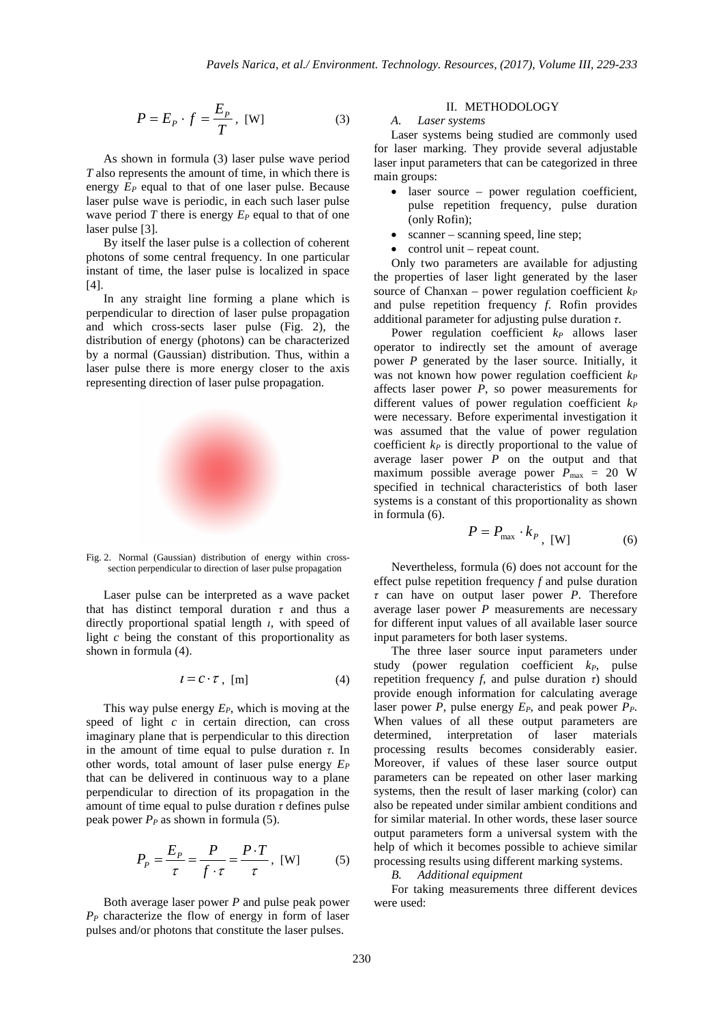$$
P = E_P \cdot f = \frac{E_P}{T}, \text{ [W]}
$$
 (3)

As shown in formula (3) laser pulse wave period *T* also represents the amount of time, in which there is energy *EP* equal to that of one laser pulse. Because laser pulse wave is periodic, in each such laser pulse wave period *T* there is energy  $E_P$  equal to that of one laser pulse [3].

By itself the laser pulse is a collection of coherent photons of some central frequency. In one particular instant of time, the laser pulse is localized in space [4].

In any straight line forming a plane which is perpendicular to direction of laser pulse propagation and which cross-sects laser pulse (Fig. 2), the distribution of energy (photons) can be characterized by a normal (Gaussian) distribution. Thus, within a laser pulse there is more energy closer to the axis representing direction of laser pulse propagation.



Fig. 2. Normal (Gaussian) distribution of energy within crosssection perpendicular to direction of laser pulse propagation

Laser pulse can be interpreted as a wave packet that has distinct temporal duration *τ* and thus a directly proportional spatial length *ι*, with speed of light *c* being the constant of this proportionality as shown in formula (4).

$$
l = C \cdot \tau , [m]
$$
 (4)

This way pulse energy *EP*, which is moving at the speed of light *c* in certain direction, can cross imaginary plane that is perpendicular to this direction in the amount of time equal to pulse duration *τ*. In other words, total amount of laser pulse energy *E<sup>P</sup>* that can be delivered in continuous way to a plane perpendicular to direction of its propagation in the amount of time equal to pulse duration *τ* defines pulse peak power  $P_P$  as shown in formula (5).

$$
P_p = \frac{E_p}{\tau} = \frac{P}{f \cdot \tau} = \frac{P \cdot T}{\tau}, \text{ [W]} \tag{5}
$$

Both average laser power *P* and pulse peak power *PP* characterize the flow of energy in form of laser pulses and/or photons that constitute the laser pulses.

## II. METHODOLOGY

## *A. Laser systems*

Laser systems being studied are commonly used for laser marking. They provide several adjustable laser input parameters that can be categorized in three main groups:

- laser source power regulation coefficient, pulse repetition frequency, pulse duration (only Rofin);
- scanner scanning speed, line step;
- control unit repeat count.

Only two parameters are available for adjusting the properties of laser light generated by the laser source of Chanxan – power regulation coefficient *k<sup>P</sup>* and pulse repetition frequency *f*. Rofin provides additional parameter for adjusting pulse duration *τ*.

Power regulation coefficient  $k_P$  allows laser operator to indirectly set the amount of average power *P* generated by the laser source. Initially, it was not known how power regulation coefficient *k<sup>P</sup>* affects laser power *P*, so power measurements for different values of power regulation coefficient *k<sup>P</sup>* were necessary. Before experimental investigation it was assumed that the value of power regulation coefficient *kP* is directly proportional to the value of average laser power  $P$  on the output and that maximum possible average power  $P_{\text{max}} = 20$  W specified in technical characteristics of both laser systems is a constant of this proportionality as shown in formula (6).

$$
P = P_{\text{max}} \cdot k_{P}, \text{ [W]} \tag{6}
$$

Nevertheless, formula (6) does not account for the effect pulse repetition frequency *f* and pulse duration *τ* can have on output laser power *P*. Therefore average laser power *P* measurements are necessary for different input values of all available laser source input parameters for both laser systems.

The three laser source input parameters under study (power regulation coefficient *kP*, pulse repetition frequency *f*, and pulse duration *τ*) should provide enough information for calculating average laser power *P*, pulse energy *EP*, and peak power *PP*. When values of all these output parameters are determined, interpretation of laser materials processing results becomes considerably easier. Moreover, if values of these laser source output parameters can be repeated on other laser marking systems, then the result of laser marking (color) can also be repeated under similar ambient conditions and for similar material. In other words, these laser source output parameters form a universal system with the help of which it becomes possible to achieve similar processing results using different marking systems.

*B. Additional equipment* 

For taking measurements three different devices were used: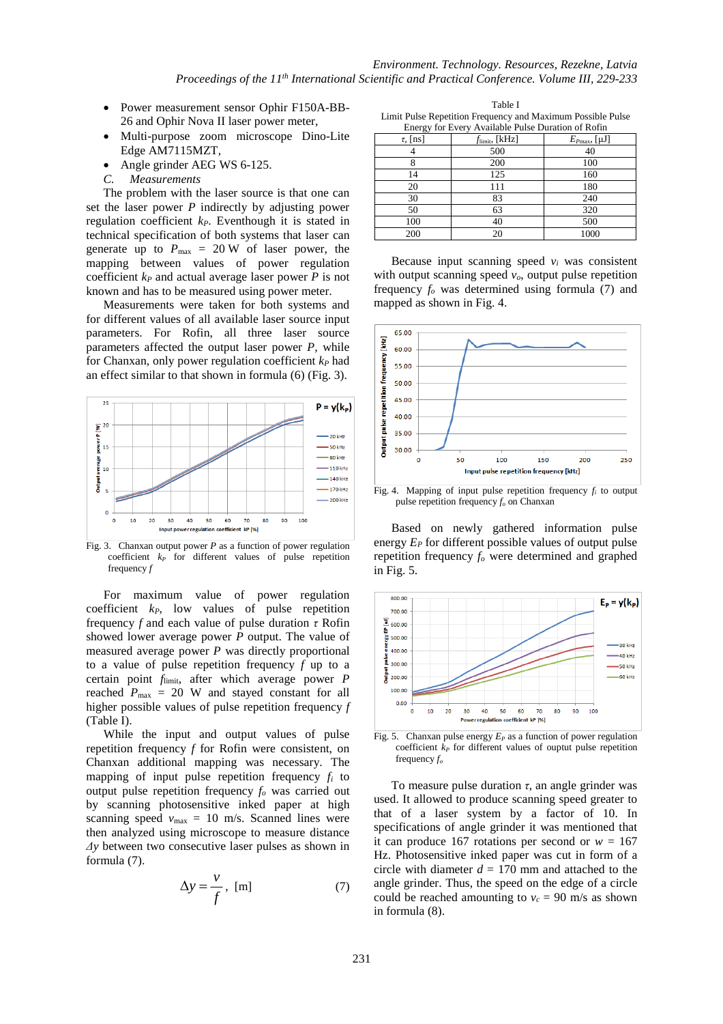- Power measurement sensor Ophir F150A-BB-26 and Ophir Nova II laser power meter,
- Multi-purpose zoom microscope Dino-Lite Edge AM7115MZT,
- Angle grinder AEG WS 6-125.
- *C. Measurements*

The problem with the laser source is that one can set the laser power *P* indirectly by adjusting power regulation coefficient *kP*. Eventhough it is stated in technical specification of both systems that laser can generate up to  $P_{\text{max}} = 20 \text{ W}$  of laser power, the mapping between values of power regulation coefficient  $k_P$  and actual average laser power  $\overline{P}$  is not known and has to be measured using power meter.

Measurements were taken for both systems and for different values of all available laser source input parameters. For Rofin, all three laser source parameters affected the output laser power *P*, while for Chanxan, only power regulation coefficient *kP* had an effect similar to that shown in formula (6) (Fig. 3).



Fig. 3. Chanxan output power *P* as a function of power regulation coefficient *kP* for different values of pulse repetition frequency *f*

For maximum value of power regulation coefficient *kP*, low values of pulse repetition frequency *f* and each value of pulse duration *τ* Rofin showed lower average power *P* output. The value of measured average power *P* was directly proportional to a value of pulse repetition frequency *f* up to a certain point *f*limit, after which average power *P* reached  $P_{\text{max}} = 20$  W and stayed constant for all higher possible values of pulse repetition frequency *f*  (Table I).

While the input and output values of pulse repetition frequency *f* for Rofin were consistent, on Chanxan additional mapping was necessary. The mapping of input pulse repetition frequency  $f_i$  to output pulse repetition frequency *fo* was carried out by scanning photosensitive inked paper at high scanning speed  $v_{\text{max}} = 10 \text{ m/s}$ . Scanned lines were then analyzed using microscope to measure distance *Δy* between two consecutive laser pulses as shown in formula (7).

$$
\Delta y = \frac{v}{f}, \text{ [m]} \tag{7}
$$

Table I Limit Pulse Repetition Frequency and Maximum Possible Pulse Energy for Every Available Pulse Duration of Rofin

| Energy for Every Trumatic Panel Buration of Roma |                            |                         |
|--------------------------------------------------|----------------------------|-------------------------|
| $\tau$ , [ns]                                    | $f_{\text{limit}}$ , [kHz] | $E_{Pmax}$ , [ $\mu$ J] |
|                                                  | 500                        | 40                      |
|                                                  | 200                        | 100                     |
| 14                                               | 125                        | 160                     |
| 20                                               | 111                        | 180                     |
| 30                                               | 83                         | 240                     |
| 50                                               | 63                         | 320                     |
| 100                                              | 40                         | 500                     |
| 200                                              | 20                         | 1000                    |

Because input scanning speed  $v_i$  was consistent with output scanning speed *vo*, output pulse repetition frequency *fo* was determined using formula (7) and mapped as shown in Fig. 4.



Fig. 4. Mapping of input pulse repetition frequency  $f_i$  to output pulse repetition frequency *fo* on Chanxan

Based on newly gathered information pulse energy *EP* for different possible values of output pulse repetition frequency *fo* were determined and graphed in Fig. 5.



Fig. 5. Chanxan pulse energy  $E_P$  as a function of power regulation coefficient  $k_P$  for different values of ouptut pulse repetition frequency *f<sup>o</sup>*

To measure pulse duration *τ*, an angle grinder was used. It allowed to produce scanning speed greater to that of a laser system by a factor of 10. In specifications of angle grinder it was mentioned that it can produce 167 rotations per second or  $w = 167$ Hz. Photosensitive inked paper was cut in form of a circle with diameter  $d = 170$  mm and attached to the angle grinder. Thus, the speed on the edge of a circle could be reached amounting to  $v_c = 90$  m/s as shown in formula (8).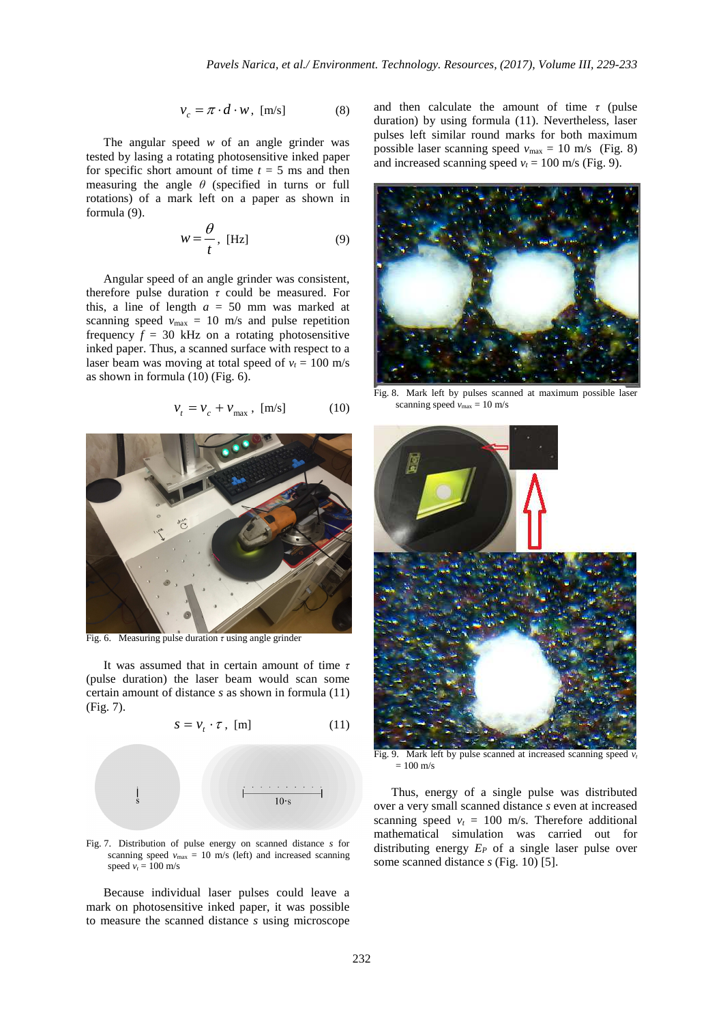$$
v_c = \pi \cdot d \cdot w, \text{ [m/s]} \tag{8}
$$

The angular speed *w* of an angle grinder was tested by lasing a rotating photosensitive inked paper for specific short amount of time  $t = 5$  ms and then measuring the angle  $\theta$  (specified in turns or full rotations) of a mark left on a paper as shown in formula (9).

$$
w = \frac{\theta}{t}, \text{ [Hz]} \tag{9}
$$

Angular speed of an angle grinder was consistent, therefore pulse duration *τ* could be measured. For this, a line of length  $a = 50$  mm was marked at scanning speed  $v_{\text{max}} = 10$  m/s and pulse repetition frequency  $f = 30$  kHz on a rotating photosensitive inked paper. Thus, a scanned surface with respect to a laser beam was moving at total speed of  $v_t = 100$  m/s as shown in formula (10) (Fig. 6).

$$
v_t = v_c + v_{\text{max}} , \text{ [m/s]} \tag{10}
$$



Fig. 6. Measuring pulse duration *τ* using angle grinder

It was assumed that in certain amount of time *τ* (pulse duration) the laser beam would scan some certain amount of distance *s* as shown in formula (11) (Fig. 7).

$$
s = v_t \cdot \tau, \text{ [m]}
$$
 (11)



Fig. 7. Distribution of pulse energy on scanned distance *s* for scanning speed  $v_{\text{max}} = 10 \text{ m/s}$  (left) and increased scanning speed  $v_t = 100$  m/s

Because individual laser pulses could leave a mark on photosensitive inked paper, it was possible to measure the scanned distance *s* using microscope and then calculate the amount of time  $\tau$  (pulse duration) by using formula (11). Nevertheless, laser pulses left similar round marks for both maximum possible laser scanning speed  $v_{\text{max}} = 10 \text{ m/s}$  (Fig. 8) and increased scanning speed  $v_t = 100$  m/s (Fig. 9).



Fig. 8. Mark left by pulses scanned at maximum possible laser scanning speed  $v_{\text{max}} = 10 \text{ m/s}$ 



Fig. 9. Mark left by pulse scanned at increased scanning speed  $v_t$  $= 100$  m/s

Thus, energy of a single pulse was distributed over a very small scanned distance *s* even at increased scanning speed  $v_t = 100$  m/s. Therefore additional mathematical simulation was carried out for distributing energy *EP* of a single laser pulse over some scanned distance *s* (Fig. 10) [5].